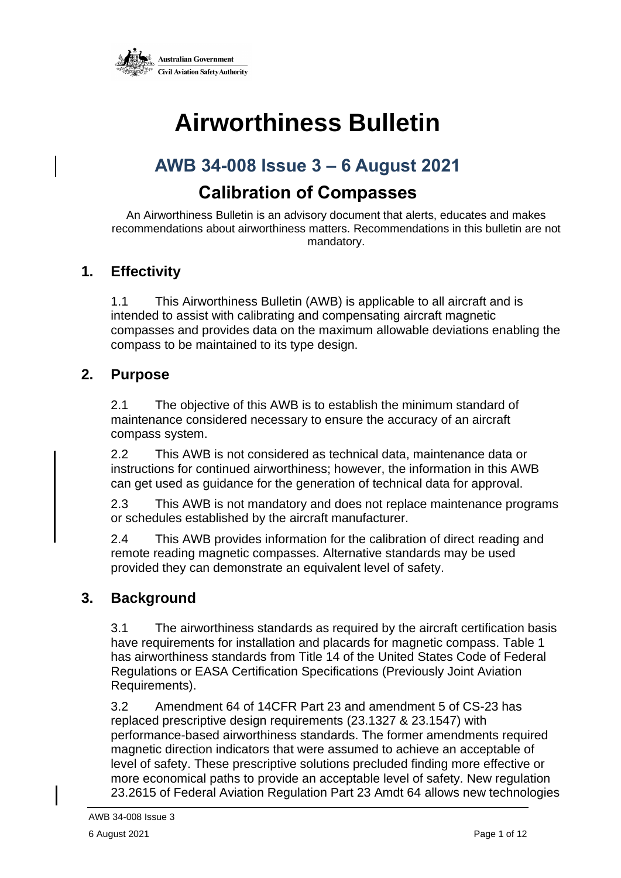

# **Airworthiness Bulletin**

# **AWB 34-008 Issue 3 – 6 August 2021**

# **Calibration of Compasses**

An Airworthiness Bulletin is an advisory document that alerts, educates and makes recommendations about airworthiness matters. Recommendations in this bulletin are not mandatory.

#### **1. Effectivity**

1.1 This Airworthiness Bulletin (AWB) is applicable to all aircraft and is intended to assist with calibrating and compensating aircraft magnetic compasses and provides data on the maximum allowable deviations enabling the compass to be maintained to its type design.

#### **2. Purpose**

2.1 The objective of this AWB is to establish the minimum standard of maintenance considered necessary to ensure the accuracy of an aircraft compass system.

2.2 This AWB is not considered as technical data, maintenance data or instructions for continued airworthiness; however, the information in this AWB can get used as guidance for the generation of technical data for approval.

2.3 This AWB is not mandatory and does not replace maintenance programs or schedules established by the aircraft manufacturer.

2.4 This AWB provides information for the calibration of direct reading and remote reading magnetic compasses. Alternative standards may be used provided they can demonstrate an equivalent level of safety.

#### **3. Background**

3.1 The airworthiness standards as required by the aircraft certification basis have requirements for installation and placards for magnetic compass. Table 1 has airworthiness standards from Title 14 of the United States Code of Federal Regulations or EASA Certification Specifications (Previously Joint Aviation Requirements).

3.2 Amendment 64 of 14CFR Part 23 and amendment 5 of CS-23 has replaced prescriptive design requirements (23.1327 & 23.1547) with performance-based airworthiness standards. The former amendments required magnetic direction indicators that were assumed to achieve an acceptable of level of safety. These prescriptive solutions precluded finding more effective or more economical paths to provide an acceptable level of safety. New regulation 23.2615 of Federal Aviation Regulation Part 23 Amdt 64 allows new technologies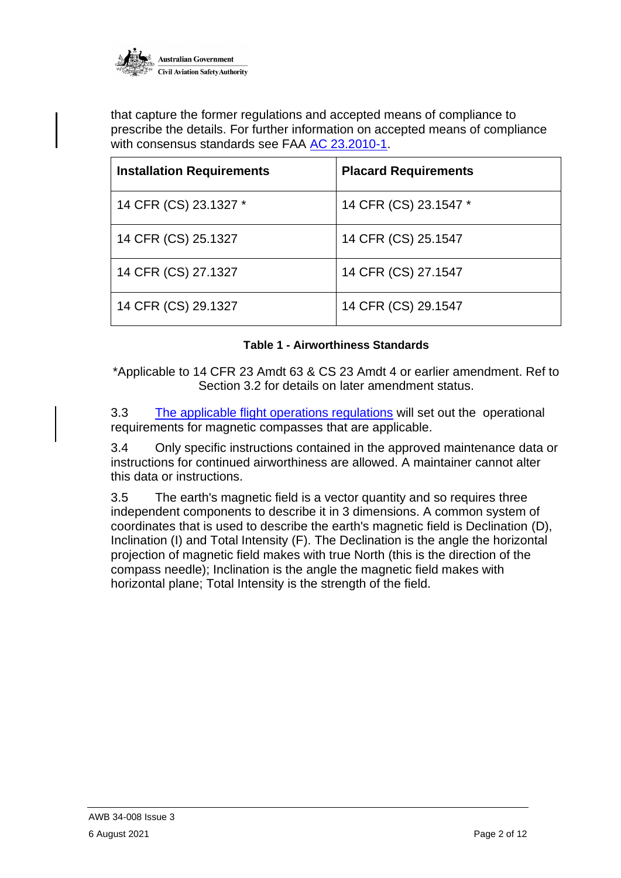

that capture the former regulations and accepted means of compliance to prescribe the details. For further information on accepted means of compliance with consensus standards see FAA [AC 23.2010-1.](http://www.faa.gov/documentLibrary/media/Advisory_Circular/AC_23_2010-1.pdf)

| <b>Installation Requirements</b> | <b>Placard Requirements</b> |
|----------------------------------|-----------------------------|
| 14 CFR (CS) 23.1327 *            | 14 CFR (CS) 23.1547 *       |
| 14 CFR (CS) 25.1327              | 14 CFR (CS) 25.1547         |
| 14 CFR (CS) 27.1327              | 14 CFR (CS) 27.1547         |
| 14 CFR (CS) 29.1327              | 14 CFR (CS) 29.1547         |

#### **Table 1 - Airworthiness Standards**

\*Applicable to 14 CFR 23 Amdt 63 & CS 23 Amdt 4 or earlier amendment. Ref to Section 3.2 for details on later amendment status.

3.3 [The](https://www.legislation.gov.au/Details/F2017C01115) applicable flight operations regulations will set out the operational requirements for magnetic compasses that are applicable.

3.4 Only specific instructions contained in the approved maintenance data or instructions for continued airworthiness are allowed. A maintainer cannot alter this data or instructions.

3.5 The earth's magnetic field is a vector quantity and so requires three independent components to describe it in 3 dimensions. A common system of coordinates that is used to describe the earth's magnetic field is Declination (D), Inclination (I) and Total Intensity (F). The Declination is the angle the horizontal projection of magnetic field makes with true North (this is the direction of the compass needle); Inclination is the angle the magnetic field makes with horizontal plane; Total Intensity is the strength of the field.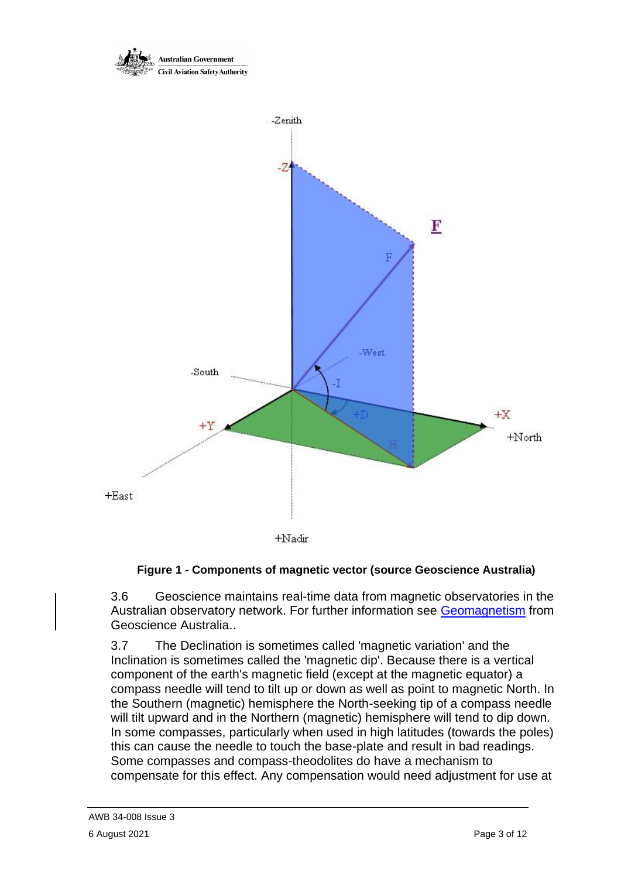

+Nadir

#### **Figure 1 - Components of magnetic vector (source Geoscience Australia)**

3.6 Geoscience maintains real-time data from magnetic observatories in the Australian observatory network. For further information see [Geomagnetism](https://geomagnetism.ga.gov.au/real-time-magnetogram) from Geoscience Australia..

3.7 The Declination is sometimes called 'magnetic variation' and the Inclination is sometimes called the 'magnetic dip'. Because there is a vertical component of the earth's magnetic field (except at the magnetic equator) a compass needle will tend to tilt up or down as well as point to magnetic North. In the Southern (magnetic) hemisphere the North-seeking tip of a compass needle will tilt upward and in the Northern (magnetic) hemisphere will tend to dip down. In some compasses, particularly when used in high latitudes (towards the poles) this can cause the needle to touch the base-plate and result in bad readings. Some compasses and compass-theodolites do have a mechanism to compensate for this effect. Any compensation would need adjustment for use at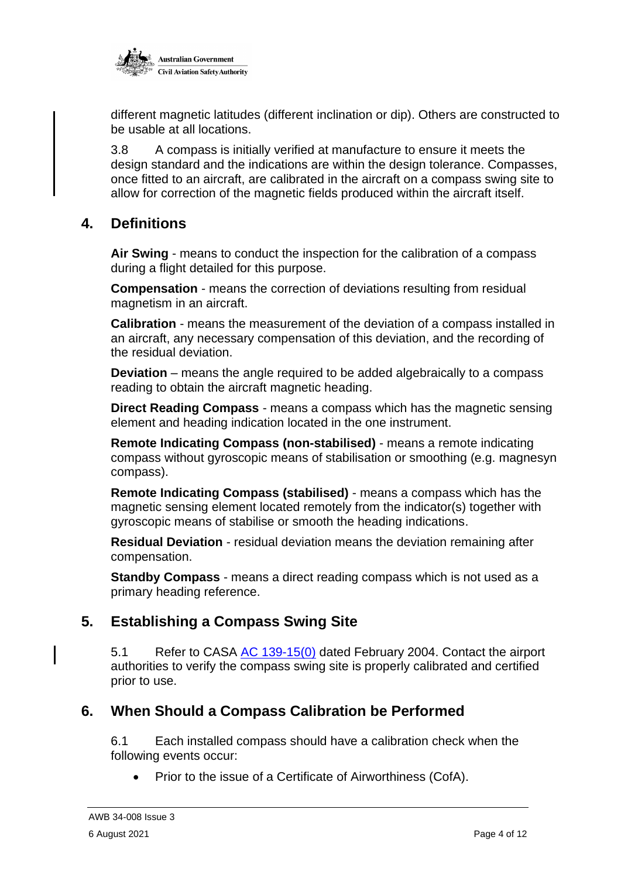

different magnetic latitudes (different inclination or dip). Others are constructed to be usable at all locations.

3.8 A compass is initially verified at manufacture to ensure it meets the design standard and the indications are within the design tolerance. Compasses, once fitted to an aircraft, are calibrated in the aircraft on a compass swing site to allow for correction of the magnetic fields produced within the aircraft itself.

#### **4. Definitions**

**Air Swing** - means to conduct the inspection for the calibration of a compass during a flight detailed for this purpose.

**Compensation** - means the correction of deviations resulting from residual magnetism in an aircraft.

**Calibration** - means the measurement of the deviation of a compass installed in an aircraft, any necessary compensation of this deviation, and the recording of the residual deviation.

**Deviation** – means the angle required to be added algebraically to a compass reading to obtain the aircraft magnetic heading.

**Direct Reading Compass** - means a compass which has the magnetic sensing element and heading indication located in the one instrument.

**Remote Indicating Compass (non-stabilised)** - means a remote indicating compass without gyroscopic means of stabilisation or smoothing (e.g. magnesyn compass).

**Remote Indicating Compass (stabilised)** - means a compass which has the magnetic sensing element located remotely from the indicator(s) together with gyroscopic means of stabilise or smooth the heading indications.

**Residual Deviation** - residual deviation means the deviation remaining after compensation.

**Standby Compass** - means a direct reading compass which is not used as a primary heading reference.

#### **5. Establishing a Compass Swing Site**

5.1 Refer to CASA [AC 139-15\(0\)](https://www.casa.gov.au/file/152471/download?token=paUd_6Zc) dated February 2004. Contact the airport authorities to verify the compass swing site is properly calibrated and certified prior to use.

#### **6. When Should a Compass Calibration be Performed**

6.1 Each installed compass should have a calibration check when the following events occur:

• Prior to the issue of a Certificate of Airworthiness (CofA).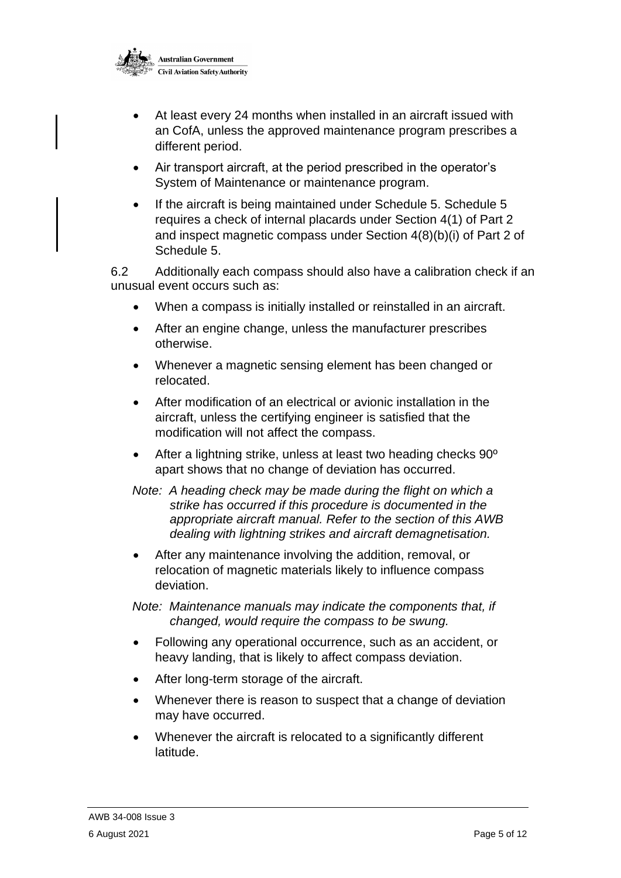

- At least every 24 months when installed in an aircraft issued with an CofA, unless the approved maintenance program prescribes a different period.
- Air transport aircraft, at the period prescribed in the operator's System of Maintenance or maintenance program.
- If the aircraft is being maintained under Schedule 5. Schedule 5 requires a check of internal placards under Section 4(1) of Part 2 and inspect magnetic compass under Section 4(8)(b)(i) of Part 2 of Schedule 5.

6.2 Additionally each compass should also have a calibration check if an unusual event occurs such as:

- When a compass is initially installed or reinstalled in an aircraft.
- After an engine change, unless the manufacturer prescribes otherwise.
- Whenever a magnetic sensing element has been changed or relocated.
- After modification of an electrical or avionic installation in the aircraft, unless the certifying engineer is satisfied that the modification will not affect the compass.
- After a lightning strike, unless at least two heading checks 90º apart shows that no change of deviation has occurred.
- *Note: A heading check may be made during the flight on which a strike has occurred if this procedure is documented in the appropriate aircraft manual. Refer to the section of this AWB dealing with lightning strikes and aircraft demagnetisation.*
- After any maintenance involving the addition, removal, or relocation of magnetic materials likely to influence compass deviation.

*Note: Maintenance manuals may indicate the components that, if changed, would require the compass to be swung.*

- Following any operational occurrence, such as an accident, or heavy landing, that is likely to affect compass deviation.
- After long-term storage of the aircraft.
- Whenever there is reason to suspect that a change of deviation may have occurred.
- Whenever the aircraft is relocated to a significantly different latitude.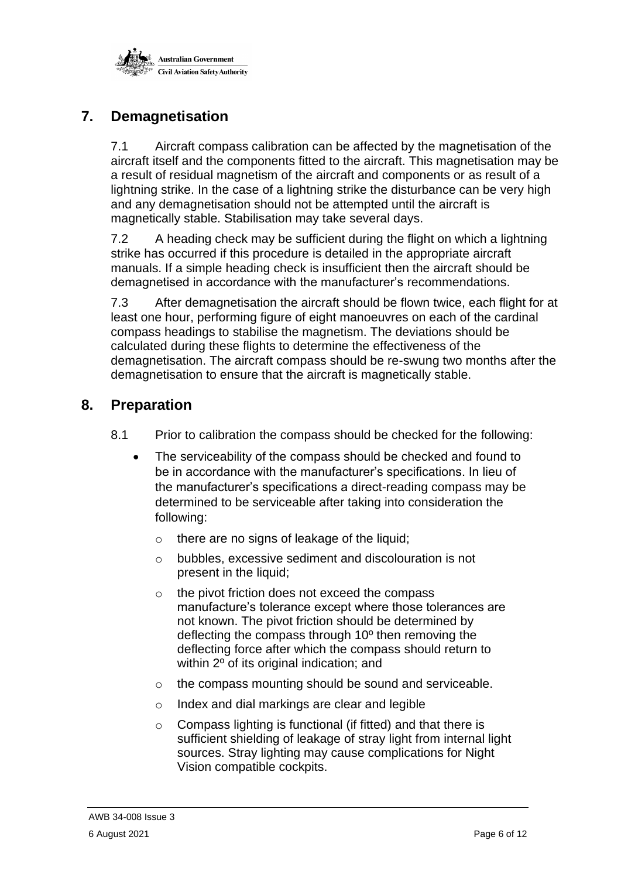

# **7. Demagnetisation**

7.1 Aircraft compass calibration can be affected by the magnetisation of the aircraft itself and the components fitted to the aircraft. This magnetisation may be a result of residual magnetism of the aircraft and components or as result of a lightning strike. In the case of a lightning strike the disturbance can be very high and any demagnetisation should not be attempted until the aircraft is magnetically stable. Stabilisation may take several days.

7.2 A heading check may be sufficient during the flight on which a lightning strike has occurred if this procedure is detailed in the appropriate aircraft manuals. If a simple heading check is insufficient then the aircraft should be demagnetised in accordance with the manufacturer's recommendations.

7.3 After demagnetisation the aircraft should be flown twice, each flight for at least one hour, performing figure of eight manoeuvres on each of the cardinal compass headings to stabilise the magnetism. The deviations should be calculated during these flights to determine the effectiveness of the demagnetisation. The aircraft compass should be re-swung two months after the demagnetisation to ensure that the aircraft is magnetically stable.

#### **8. Preparation**

- 8.1 Prior to calibration the compass should be checked for the following:
	- The serviceability of the compass should be checked and found to be in accordance with the manufacturer's specifications. In lieu of the manufacturer's specifications a direct-reading compass may be determined to be serviceable after taking into consideration the following:
		- o there are no signs of leakage of the liquid;
		- o bubbles, excessive sediment and discolouration is not present in the liquid;
		- o the pivot friction does not exceed the compass manufacture's tolerance except where those tolerances are not known. The pivot friction should be determined by deflecting the compass through 10º then removing the deflecting force after which the compass should return to within 2<sup>o</sup> of its original indication; and
		- o the compass mounting should be sound and serviceable.
		- o Index and dial markings are clear and legible
		- o Compass lighting is functional (if fitted) and that there is sufficient shielding of leakage of stray light from internal light sources. Stray lighting may cause complications for Night Vision compatible cockpits.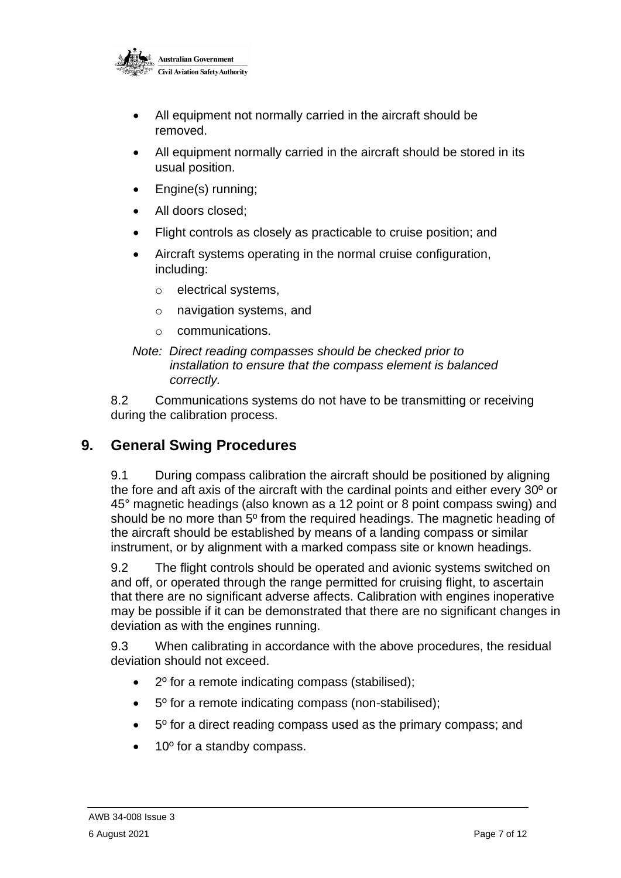

- All equipment not normally carried in the aircraft should be removed.
- All equipment normally carried in the aircraft should be stored in its usual position.
- Engine(s) running:
- All doors closed;
- Flight controls as closely as practicable to cruise position; and
- Aircraft systems operating in the normal cruise configuration, including:
	- o electrical systems,
	- o navigation systems, and
	- o communications.
- *Note: Direct reading compasses should be checked prior to installation to ensure that the compass element is balanced correctly.*

8.2 Communications systems do not have to be transmitting or receiving during the calibration process.

#### **9. General Swing Procedures**

9.1 During compass calibration the aircraft should be positioned by aligning the fore and aft axis of the aircraft with the cardinal points and either every 30º or 45° magnetic headings (also known as a 12 point or 8 point compass swing) and should be no more than 5º from the required headings. The magnetic heading of the aircraft should be established by means of a landing compass or similar instrument, or by alignment with a marked compass site or known headings.

9.2 The flight controls should be operated and avionic systems switched on and off, or operated through the range permitted for cruising flight, to ascertain that there are no significant adverse affects. Calibration with engines inoperative may be possible if it can be demonstrated that there are no significant changes in deviation as with the engines running.

9.3 When calibrating in accordance with the above procedures, the residual deviation should not exceed.

- 2º for a remote indicating compass (stabilised);
- 5º for a remote indicating compass (non-stabilised);
- 5º for a direct reading compass used as the primary compass; and
- 10<sup>°</sup> for a standby compass.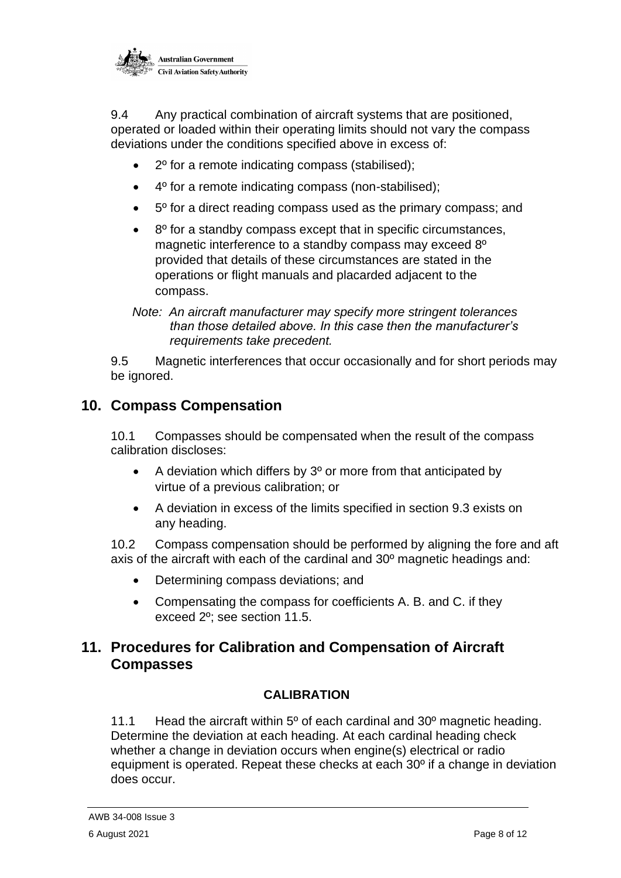

9.4 Any practical combination of aircraft systems that are positioned, operated or loaded within their operating limits should not vary the compass deviations under the conditions specified above in excess of:

- 2º for a remote indicating compass (stabilised);
- 4º for a remote indicating compass (non-stabilised);
- 5º for a direct reading compass used as the primary compass; and
- 8º for a standby compass except that in specific circumstances, magnetic interference to a standby compass may exceed 8º provided that details of these circumstances are stated in the operations or flight manuals and placarded adjacent to the compass.
- *Note: An aircraft manufacturer may specify more stringent tolerances than those detailed above. In this case then the manufacturer's requirements take precedent.*

9.5 Magnetic interferences that occur occasionally and for short periods may be ignored.

#### **10. Compass Compensation**

10.1 Compasses should be compensated when the result of the compass calibration discloses:

- A deviation which differs by 3º or more from that anticipated by virtue of a previous calibration; or
- A deviation in excess of the limits specified in section 9.3 exists on any heading.

10.2 Compass compensation should be performed by aligning the fore and aft axis of the aircraft with each of the cardinal and 30º magnetic headings and:

- Determining compass deviations; and
- Compensating the compass for coefficients A. B. and C. if they exceed 2º; see section 11.5.

#### **11. Procedures for Calibration and Compensation of Aircraft Compasses**

#### **CALIBRATION**

11.1 Head the aircraft within 5<sup>o</sup> of each cardinal and 30<sup>o</sup> magnetic heading. Determine the deviation at each heading. At each cardinal heading check whether a change in deviation occurs when engine(s) electrical or radio equipment is operated. Repeat these checks at each 30º if a change in deviation does occur.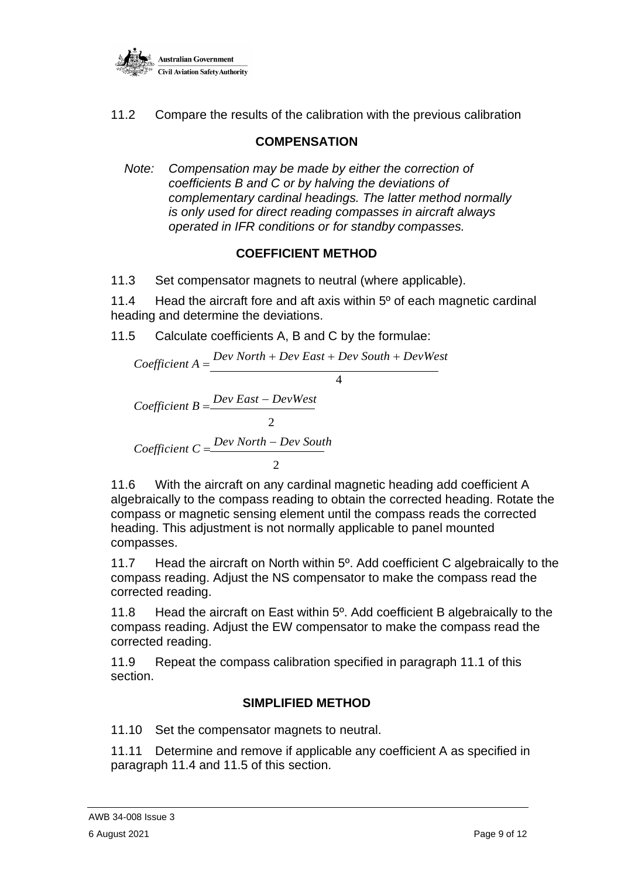

11.2 Compare the results of the calibration with the previous calibration

#### **COMPENSATION**

*Note: Compensation may be made by either the correction of coefficients B and C or by halving the deviations of complementary cardinal headings. The latter method normally is only used for direct reading compasses in aircraft always operated in IFR conditions or for standby compasses.*

#### **COEFFICIENT METHOD**

11.3 Set compensator magnets to neutral (where applicable).

11.4 Head the aircraft fore and aft axis within 5º of each magnetic cardinal heading and determine the deviations.

11.5 Calculate coefficients A, B and C by the formulae:

$$
Coefficient A = \frac{Dev North + Dev East + Dev South + DevWest}{4}
$$
  
Coefficient B = 
$$
\frac{Dev East - DevWest}{2}
$$
  
Coefficient C = 
$$
\frac{Dev North - Dev South}{2}
$$

11.6 With the aircraft on any cardinal magnetic heading add coefficient A algebraically to the compass reading to obtain the corrected heading. Rotate the compass or magnetic sensing element until the compass reads the corrected heading. This adjustment is not normally applicable to panel mounted compasses.

11.7 Head the aircraft on North within 5º. Add coefficient C algebraically to the compass reading. Adjust the NS compensator to make the compass read the corrected reading.

11.8 Head the aircraft on East within 5º. Add coefficient B algebraically to the compass reading. Adjust the EW compensator to make the compass read the corrected reading.

11.9 Repeat the compass calibration specified in paragraph 11.1 of this section.

#### **SIMPLIFIED METHOD**

11.10 Set the compensator magnets to neutral.

11.11 Determine and remove if applicable any coefficient A as specified in paragraph 11.4 and 11.5 of this section.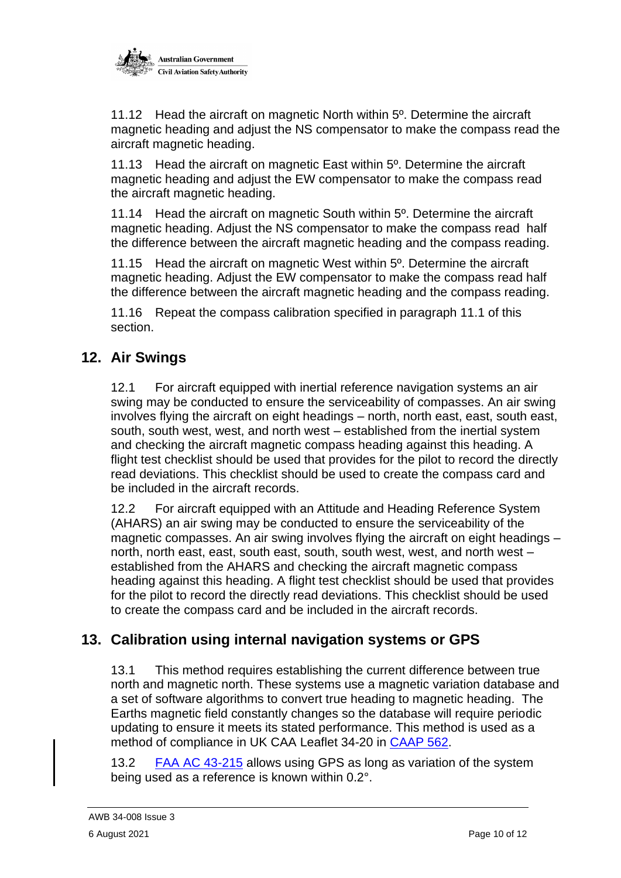

11.12 Head the aircraft on magnetic North within 5º. Determine the aircraft magnetic heading and adjust the NS compensator to make the compass read the aircraft magnetic heading.

11.13 Head the aircraft on magnetic East within 5<sup>o</sup>. Determine the aircraft magnetic heading and adjust the EW compensator to make the compass read the aircraft magnetic heading.

11.14 Head the aircraft on magnetic South within 5<sup>o</sup>. Determine the aircraft magnetic heading. Adjust the NS compensator to make the compass read half the difference between the aircraft magnetic heading and the compass reading.

11.15 Head the aircraft on magnetic West within 5<sup>o</sup>. Determine the aircraft magnetic heading. Adjust the EW compensator to make the compass read half the difference between the aircraft magnetic heading and the compass reading.

11.16 Repeat the compass calibration specified in paragraph 11.1 of this section.

### **12. Air Swings**

12.1 For aircraft equipped with inertial reference navigation systems an air swing may be conducted to ensure the serviceability of compasses. An air swing involves flying the aircraft on eight headings – north, north east, east, south east, south, south west, west, and north west – established from the inertial system and checking the aircraft magnetic compass heading against this heading. A flight test checklist should be used that provides for the pilot to record the directly read deviations. This checklist should be used to create the compass card and be included in the aircraft records.

12.2 For aircraft equipped with an Attitude and Heading Reference System (AHARS) an air swing may be conducted to ensure the serviceability of the magnetic compasses. An air swing involves flying the aircraft on eight headings – north, north east, east, south east, south, south west, west, and north west – established from the AHARS and checking the aircraft magnetic compass heading against this heading. A flight test checklist should be used that provides for the pilot to record the directly read deviations. This checklist should be used to create the compass card and be included in the aircraft records.

# **13. Calibration using internal navigation systems or GPS**

13.1 This method requires establishing the current difference between true north and magnetic north. These systems use a magnetic variation database and a set of software algorithms to convert true heading to magnetic heading. The Earths magnetic field constantly changes so the database will require periodic updating to ensure it meets its stated performance. This method is used as a method of compliance in UK CAA Leaflet 34-20 in [CAAP 562.](https://publicapps.caa.co.uk/docs/33/CAP562_Issue%204_Amendment3.pdf)

13.2 [FAA AC 43-215](https://www.faa.gov/documentLibrary/media/Advisory_Circular/AC-43-215.pdf) allows using GPS as long as variation of the system being used as a reference is known within 0.2°.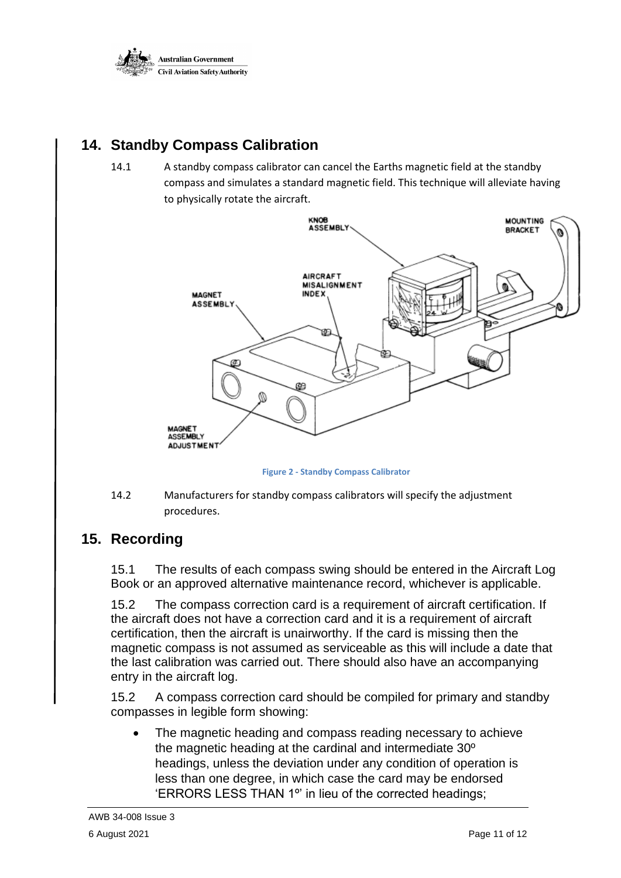

# **14. Standby Compass Calibration**

14.1 A standby compass calibrator can cancel the Earths magnetic field at the standby compass and simulates a standard magnetic field. This technique will alleviate having to physically rotate the aircraft.



**Figure 2 - Standby Compass Calibrator**

14.2 Manufacturers for standby compass calibrators will specify the adjustment procedures.

# **15. Recording**

15.1 The results of each compass swing should be entered in the Aircraft Log Book or an approved alternative maintenance record, whichever is applicable.

15.2 The compass correction card is a requirement of aircraft certification. If the aircraft does not have a correction card and it is a requirement of aircraft certification, then the aircraft is unairworthy. If the card is missing then the magnetic compass is not assumed as serviceable as this will include a date that the last calibration was carried out. There should also have an accompanying entry in the aircraft log.

15.2 A compass correction card should be compiled for primary and standby compasses in legible form showing:

The magnetic heading and compass reading necessary to achieve the magnetic heading at the cardinal and intermediate 30º headings, unless the deviation under any condition of operation is less than one degree, in which case the card may be endorsed 'ERRORS LESS THAN 1º' in lieu of the corrected headings;